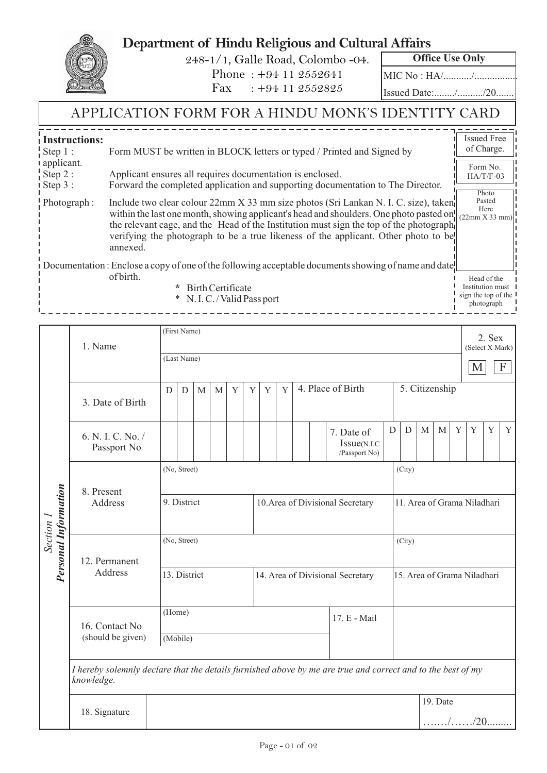## **Department of Hindu Religious and Cultural Affairs**



248-1/1, Galle Road, Colombo -04. Phone : +94 11 2552641 Fax : +94 11 2552825

**Office Use Only**

MIC No : HA/.........../................

Issued Date:......../........../20.......

## APPLICATION FORM FOR A HINDU MONK'S IDENTITY CARD

| <i>i</i> Instructions:<br>$\frac{1}{1}$ Step 1 :     | Form MUST be written in BLOCK letters or typed / Printed and Signed by                                                                                                                                                                                                                                                                                                                                 | <b>Issued Free</b><br>of Charge.                                                 |  |  |  |  |  |
|------------------------------------------------------|--------------------------------------------------------------------------------------------------------------------------------------------------------------------------------------------------------------------------------------------------------------------------------------------------------------------------------------------------------------------------------------------------------|----------------------------------------------------------------------------------|--|--|--|--|--|
| applicant.<br>$\frac{1}{1}$ Step 2 :<br>$I$ Step 3 : | Applicant ensures all requires documentation is enclosed.<br>Forward the completed application and supporting documentation to The Director.                                                                                                                                                                                                                                                           | Form No.<br>$HA/T/F-03$<br>Photo                                                 |  |  |  |  |  |
| $\frac{1}{2}$ Photograph:                            | Include two clear colour 22mm X 33 mm size photos (Sri Lankan N. I. C. size), taken<br>within the last one month, showing applicant's head and shoulders. One photo pasted on $\frac{1}{2}$ (22mm X 33 mm)<br>the relevant cage, and the Head of the Institution must sign the top of the photograph<br>verifying the photograph to be a true likeness of the applicant. Other photo to be<br>annexed. |                                                                                  |  |  |  |  |  |
|                                                      | Documentation: Enclose a copy of one of the following acceptable documents showing of name and date!<br>of birth.<br>Birth Certificate<br>$\ast$<br>* N.I.C./Valid Pass port                                                                                                                                                                                                                           | Head of the<br>Institution must<br>sign the top of the $\mathsf I$<br>photograph |  |  |  |  |  |

|                                          | 1. Name                                                                                                                   | (First Name)                                                    |   |   |   |   |   |   |                             |              |          |                                            | 2. Sex<br>(Select X Mark) |             |   |   |   |   |   |
|------------------------------------------|---------------------------------------------------------------------------------------------------------------------------|-----------------------------------------------------------------|---|---|---|---|---|---|-----------------------------|--------------|----------|--------------------------------------------|---------------------------|-------------|---|---|---|---|---|
| <b>Personal Information</b><br>Section 1 |                                                                                                                           | (Last Name)<br>$\boldsymbol{\mathrm{F}}$<br>M                   |   |   |   |   |   |   |                             |              |          |                                            |                           |             |   |   |   |   |   |
|                                          | 3. Date of Birth                                                                                                          | D                                                               | D | M | M | Y | Y | Y | Y                           |              |          | 4. Place of Birth                          | 5. Citizenship            |             |   |   |   |   |   |
|                                          | 6. N. I. C. No. /<br>Passport No                                                                                          |                                                                 |   |   |   |   |   |   |                             |              |          | 7. Date of<br>Issue(N.I.C<br>/Passport No) | $\mathbf D$<br>D          | $\mathbf M$ | M | Y | Y | Y | Y |
|                                          | 8. Present<br>Address                                                                                                     | (No, Street)<br>9. District<br>10. Area of Divisional Secretary |   |   |   |   |   |   |                             |              |          | (City)<br>11. Area of Grama Niladhari      |                           |             |   |   |   |   |   |
|                                          | 12. Permanent                                                                                                             | (No, Street)<br>(City)                                          |   |   |   |   |   |   |                             |              |          |                                            |                           |             |   |   |   |   |   |
|                                          | Address                                                                                                                   | 13. District<br>14. Area of Divisional Secretary                |   |   |   |   |   |   | 15. Area of Grama Niladhari |              |          |                                            |                           |             |   |   |   |   |   |
|                                          | 16. Contact No                                                                                                            | (Home)                                                          |   |   |   |   |   |   |                             | 17. E - Mail |          |                                            |                           |             |   |   |   |   |   |
|                                          | (should be given)                                                                                                         | (Mobile)                                                        |   |   |   |   |   |   |                             |              |          |                                            |                           |             |   |   |   |   |   |
|                                          | I hereby solemnly declare that the details furnished above by me are true and correct and to the best of my<br>knowledge. |                                                                 |   |   |   |   |   |   |                             |              |          |                                            |                           |             |   |   |   |   |   |
|                                          | 18. Signature                                                                                                             |                                                                 |   |   |   |   |   |   |                             |              | 19. Date |                                            |                           |             |   |   |   |   |   |
|                                          |                                                                                                                           |                                                                 |   |   |   |   |   |   |                             |              |          |                                            |                           |             |   |   |   |   |   |